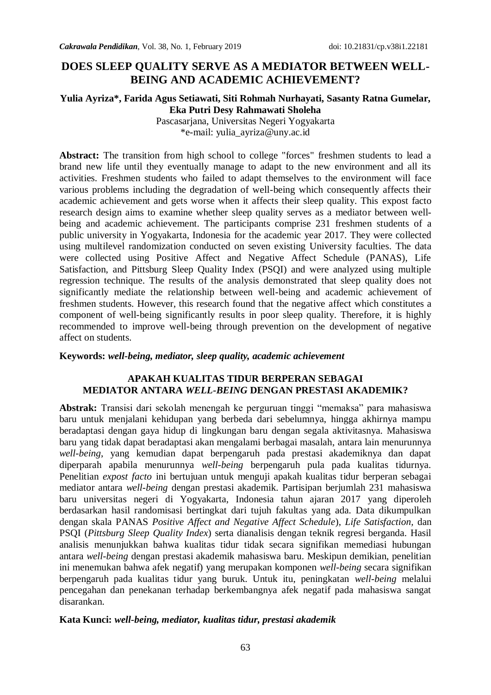# **DOES SLEEP QUALITY SERVE AS A MEDIATOR BETWEEN WELL-BEING AND ACADEMIC ACHIEVEMENT?**

### **Yulia Ayriza\*, Farida Agus Setiawati, Siti Rohmah Nurhayati, Sasanty Ratna Gumelar, Eka Putri Desy Rahmawati Sholeha**

Pascasarjana, Universitas Negeri Yogyakarta \*e-mail: [yulia\\_ayriza@uny.ac.id](mailto:yulia_ayriza@uny.ac.id)

Abstract: The transition from high school to college "forces" freshmen students to lead a brand new life until they eventually manage to adapt to the new environment and all its activities. Freshmen students who failed to adapt themselves to the environment will face various problems including the degradation of well-being which consequently affects their academic achievement and gets worse when it affects their sleep quality. This expost facto research design aims to examine whether sleep quality serves as a mediator between wellbeing and academic achievement. The participants comprise 231 freshmen students of a public university in Yogyakarta, Indonesia for the academic year 2017. They were collected using multilevel randomization conducted on seven existing University faculties. The data were collected using Positive Affect and Negative Affect Schedule (PANAS), Life Satisfaction, and Pittsburg Sleep Quality Index (PSQI) and were analyzed using multiple regression technique. The results of the analysis demonstrated that sleep quality does not significantly mediate the relationship between well-being and academic achievement of freshmen students. However, this research found that the negative affect which constitutes a component of well-being significantly results in poor sleep quality. Therefore, it is highly recommended to improve well-being through prevention on the development of negative affect on students.

#### **Keywords:** *well-being, mediator, sleep quality, academic achievement*

### **APAKAH KUALITAS TIDUR BERPERAN SEBAGAI MEDIATOR ANTARA** *WELL-BEING* **DENGAN PRESTASI AKADEMIK?**

**Abstrak:** Transisi dari sekolah menengah ke perguruan tinggi "memaksa" para mahasiswa baru untuk menjalani kehidupan yang berbeda dari sebelumnya, hingga akhirnya mampu beradaptasi dengan gaya hidup di lingkungan baru dengan segala aktivitasnya. Mahasiswa baru yang tidak dapat beradaptasi akan mengalami berbagai masalah, antara lain menurunnya *well-being*, yang kemudian dapat berpengaruh pada prestasi akademiknya dan dapat diperparah apabila menurunnya *well-being* berpengaruh pula pada kualitas tidurnya. Penelitian *expost facto* ini bertujuan untuk menguji apakah kualitas tidur berperan sebagai mediator antara *well-being* dengan prestasi akademik. Partisipan berjumlah 231 mahasiswa baru universitas negeri di Yogyakarta, Indonesia tahun ajaran 2017 yang diperoleh berdasarkan hasil randomisasi bertingkat dari tujuh fakultas yang ada. Data dikumpulkan dengan skala PANAS *Positive Affect and Negative Affect Schedule*), *Life Satisfaction,* dan PSQI (*Pittsburg Sleep Quality Index*) serta dianalisis dengan teknik regresi berganda. Hasil analisis menunjukkan bahwa kualitas tidur tidak secara signifikan memediasi hubungan antara *well-being* dengan prestasi akademik mahasiswa baru. Meskipun demikian, penelitian ini menemukan bahwa afek negatif) yang merupakan komponen *well-being* secara signifikan berpengaruh pada kualitas tidur yang buruk. Untuk itu, peningkatan *well-being* melalui pencegahan dan penekanan terhadap berkembangnya afek negatif pada mahasiswa sangat disarankan.

#### **Kata Kunci:** *well-being, mediator, kualitas tidur, prestasi akademik*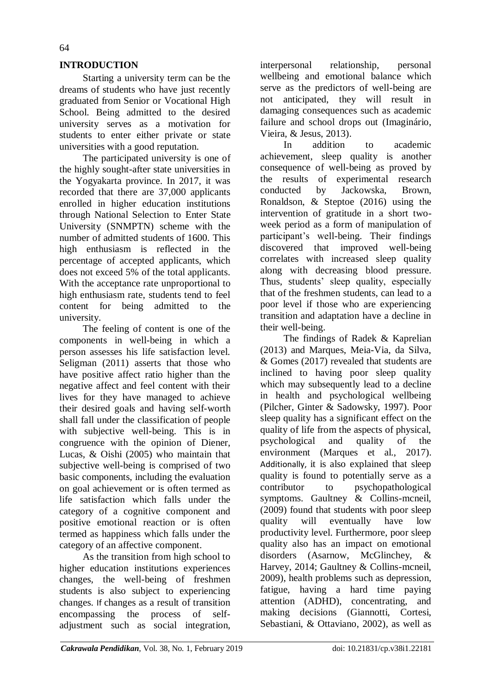## **INTRODUCTION**

Starting a university term can be the dreams of students who have just recently graduated from Senior or Vocational High School. Being admitted to the desired university serves as a motivation for students to enter either private or state universities with a good reputation.

The participated university is one of the highly sought-after state universities in the Yogyakarta province. In 2017, it was recorded that there are 37,000 applicants enrolled in higher education institutions through National Selection to Enter State University (SNMPTN) scheme with the number of admitted students of 1600. This high enthusiasm is reflected in the percentage of accepted applicants, which does not exceed 5% of the total applicants. With the acceptance rate unproportional to high enthusiasm rate, students tend to feel content for being admitted to the university.

The feeling of content is one of the components in well-being in which a person assesses his life satisfaction level. Seligman (2011) asserts that those who have positive affect ratio higher than the negative affect and feel content with their lives for they have managed to achieve their desired goals and having self-worth shall fall under the classification of people with subjective well-being. This is in congruence with the opinion of Diener, Lucas, & Oishi (2005) who maintain that subjective well-being is comprised of two basic components, including the evaluation on goal achievement or is often termed as life satisfaction which falls under the category of a cognitive component and positive emotional reaction or is often termed as happiness which falls under the category of an affective component.

As the transition from high school to higher education institutions experiences changes, the well-being of freshmen students is also subject to experiencing changes. If changes as a result of transition encompassing the process of selfadjustment such as social integration, interpersonal relationship, personal wellbeing and emotional balance which serve as the predictors of well-being are not anticipated, they will result in damaging consequences such as academic failure and school drops out (Imaginário, Vieira, & Jesus, 2013).

In addition to academic achievement, sleep quality is another consequence of well-being as proved by the results of experimental research conducted by Jackowska, Brown, Ronaldson, & Steptoe (2016) using the intervention of gratitude in a short twoweek period as a form of manipulation of participant's well-being. Their findings discovered that improved well-being correlates with increased sleep quality along with decreasing blood pressure. Thus, students' sleep quality, especially that of the freshmen students, can lead to a poor level if those who are experiencing transition and adaptation have a decline in their well-being.

The findings of Radek & Kaprelian (2013) and Marques, Meia-Via, da Silva, & Gomes (2017) revealed that students are inclined to having poor sleep quality which may subsequently lead to a decline in health and psychological wellbeing (Pilcher, Ginter & Sadowsky, 1997). Poor sleep quality has a significant effect on the quality of life from the aspects of physical, psychological and quality of the environment (Marques et al., 2017). Additionally, it is also explained that sleep quality is found to potentially serve as a contributor to psychopathological symptoms. Gaultney & Collins-mcneil, (2009) found that students with poor sleep quality will eventually have low productivity level. Furthermore, poor sleep quality also has an impact on emotional disorders (Asarnow, McGlinchey, & Harvey, 2014; Gaultney & Collins-mcneil, 2009), health problems such as depression, fatigue, having a hard time paying attention (ADHD), concentrating, and making decisions (Giannotti, Cortesi, Sebastiani, & Ottaviano, 2002), as well as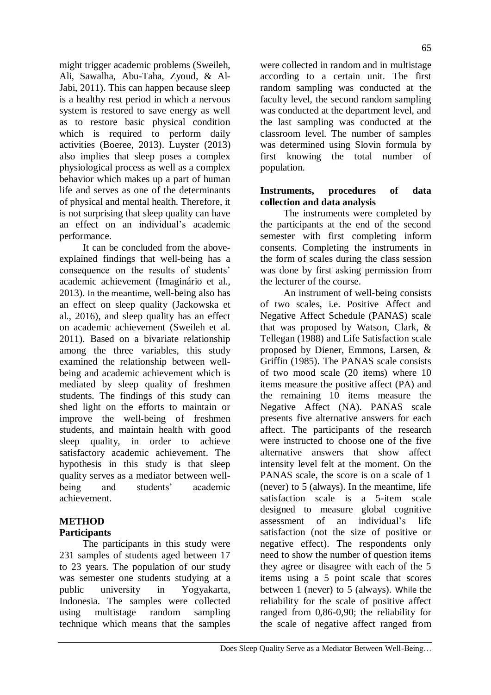Ali, Sawalha, Abu-Taha, Zyoud, & Al-Jabi, 2011). This can happen because sleep is a healthy rest period in which a nervous system is restored to save energy as well as to restore basic physical condition which is required to perform daily activities (Boeree, 2013). Luyster (2013) also implies that sleep poses a complex physiological process as well as a complex behavior which makes up a part of human life and serves as one of the determinants of physical and mental health. Therefore, it is not surprising that sleep quality can have an effect on an individual's academic performance.

might trigger academic problems (Sweileh,

It can be concluded from the aboveexplained findings that well-being has a consequence on the results of students' academic achievement (Imaginário et al., 2013). In the meantime, well-being also has an effect on sleep quality (Jackowska et al., 2016), and sleep quality has an effect on academic achievement (Sweileh et al. 2011). Based on a bivariate relationship among the three variables, this study examined the relationship between wellbeing and academic achievement which is mediated by sleep quality of freshmen students. The findings of this study can shed light on the efforts to maintain or improve the well-being of freshmen students, and maintain health with good sleep quality, in order to achieve satisfactory academic achievement. The hypothesis in this study is that sleep quality serves as a mediator between wellbeing and students' academic achievement.

# **METHOD**

# **Participants**

The participants in this study were 231 samples of students aged between 17 to 23 years. The population of our study was semester one students studying at a public university in Yogyakarta, Indonesia. The samples were collected using multistage random sampling technique which means that the samples

were collected in random and in multistage according to a certain unit. The first random sampling was conducted at the faculty level, the second random sampling was conducted at the department level, and the last sampling was conducted at the classroom level. The number of samples was determined using Slovin formula by first knowing the total number of population.

## **Instruments, procedures of data collection and data analysis**

The instruments were completed by the participants at the end of the second semester with first completing inform consents. Completing the instruments in the form of scales during the class session was done by first asking permission from the lecturer of the course.

An instrument of well-being consists of two scales, i.e. Positive Affect and Negative Affect Schedule (PANAS) scale that was proposed by Watson, Clark, & Tellegan (1988) and Life Satisfaction scale proposed by Diener, Emmons, Larsen, & Griffin (1985). The PANAS scale consists of two mood scale (20 items) where 10 items measure the positive affect (PA) and the remaining 10 items measure the Negative Affect (NA). PANAS scale presents five alternative answers for each affect. The participants of the research were instructed to choose one of the five alternative answers that show affect intensity level felt at the moment. On the PANAS scale, the score is on a scale of 1 (never) to 5 (always). In the meantime, life satisfaction scale is a 5-item scale designed to measure global cognitive assessment of an individual's life satisfaction (not the size of positive or negative effect). The respondents only need to show the number of question items they agree or disagree with each of the 5 items using a 5 point scale that scores between 1 (never) to 5 (always). While the reliability for the scale of positive affect ranged from 0,86-0,90; the reliability for the scale of negative affect ranged from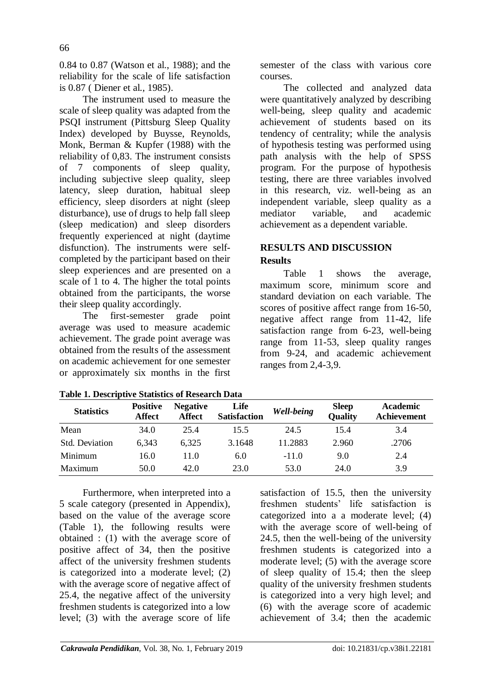0.84 to 0.87 (Watson et al., 1988); and the reliability for the scale of life satisfaction is 0.87 ( Diener et al., 1985).

The instrument used to measure the scale of sleep quality was adapted from the PSQI instrument (Pittsburg Sleep Quality Index) developed by Buysse, Reynolds, Monk, Berman & Kupfer (1988) with the reliability of 0,83. The instrument consists of 7 components of sleep quality, including subjective sleep quality, sleep latency, sleep duration, habitual sleep efficiency, sleep disorders at night (sleep disturbance), use of drugs to help fall sleep (sleep medication) and sleep disorders frequently experienced at night (daytime disfunction). The instruments were selfcompleted by the participant based on their sleep experiences and are presented on a scale of 1 to 4. The higher the total points obtained from the participants, the worse their sleep quality accordingly.

The first-semester grade point average was used to measure academic achievement. The grade point average was obtained from the results of the assessment on academic achievement for one semester or approximately six months in the first semester of the class with various core courses.

The collected and analyzed data were quantitatively analyzed by describing well-being, sleep quality and academic achievement of students based on its tendency of centrality; while the analysis of hypothesis testing was performed using path analysis with the help of SPSS program. For the purpose of hypothesis testing, there are three variables involved in this research, viz. well-being as an independent variable, sleep quality as a mediator variable, and academic achievement as a dependent variable.

# **RESULTS AND DISCUSSION**

# **Results**

Table 1 shows the average, maximum score, minimum score and standard deviation on each variable. The scores of positive affect range from 16-50, negative affect range from 11-42, life satisfaction range from 6-23, well-being range from 11-53, sleep quality ranges from 9-24, and academic achievement ranges from 2,4-3,9.

| <b>Statistics</b> | <b>Positive</b><br><b>Affect</b> | <b>Negative</b><br><b>Affect</b> | Life<br><b>Satisfaction</b> | Well-being | <b>Sleep</b><br><b>Quality</b> | <b>Academic</b><br>Achievement |  |
|-------------------|----------------------------------|----------------------------------|-----------------------------|------------|--------------------------------|--------------------------------|--|
| Mean              | 34.0                             | 25.4                             | 15.5                        | 24.5       | 15.4                           | 3.4                            |  |
| Std. Deviation    | 6.343                            | 6,325                            | 3.1648                      | 11.2883    | 2.960                          | .2706                          |  |
| Minimum           | 16.0                             | 11.0                             | 6.0                         | $-11.0$    | 9.0                            | 2.4                            |  |
| Maximum           | 50.0                             | 42.0                             | 23.0                        | 53.0       | 24.0                           | 3.9                            |  |

**Table 1. Descriptive Statistics of Research Data** 

Furthermore, when interpreted into a 5 scale category (presented in Appendix), based on the value of the average score (Table 1), the following results were obtained : (1) with the average score of positive affect of 34, then the positive affect of the university freshmen students is categorized into a moderate level; (2) with the average score of negative affect of 25.4, the negative affect of the university freshmen students is categorized into a low level; (3) with the average score of life

satisfaction of 15.5, then the university freshmen students' life satisfaction is categorized into a a moderate level; (4) with the average score of well-being of 24.5, then the well-being of the university freshmen students is categorized into a moderate level; (5) with the average score of sleep quality of 15.4; then the sleep quality of the university freshmen students is categorized into a very high level; and (6) with the average score of academic achievement of 3.4; then the academic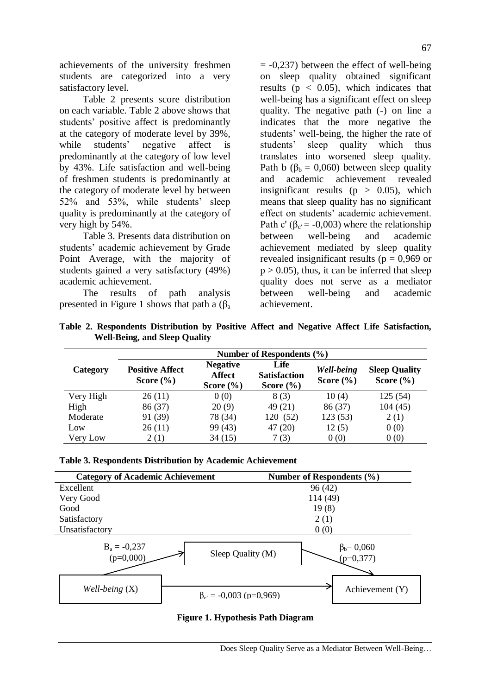achievements of the university freshmen students are categorized into a very satisfactory level.

Table 2 presents score distribution on each variable. Table 2 above shows that students' positive affect is predominantly at the category of moderate level by 39%, while students' negative affect is predominantly at the category of low level by 43%. Life satisfaction and well-being of freshmen students is predominantly at the category of moderate level by between 52% and 53%, while students' sleep quality is predominantly at the category of very high by 54%.

Table 3. Presents data distribution on students' academic achievement by Grade Point Average, with the majority of students gained a very satisfactory (49%) academic achievement.

The results of path analysis presented in Figure 1 shows that path a  $(\beta_a)$   $= -0.237$ ) between the effect of well-being on sleep quality obtained significant results ( $p < 0.05$ ), which indicates that well-being has a significant effect on sleep quality. The negative path (-) on line a indicates that the more negative the students' well-being, the higher the rate of students' sleep quality which thus translates into worsened sleep quality. Path b ( $\beta_b = 0.060$ ) between sleep quality and academic achievement revealed insignificant results ( $p > 0.05$ ), which means that sleep quality has no significant effect on students' academic achievement. Path c' ( $\beta_{c} = -0.003$ ) where the relationship between well-being and academic achievement mediated by sleep quality revealed insignificant results ( $p = 0.969$  or  $p > 0.05$ , thus, it can be inferred that sleep quality does not serve as a mediator between well-being and academic achievement.

|  | Table 2. Respondents Distribution by Positive Affect and Negative Affect Life Satisfaction, |  |  |  |  |  |
|--|---------------------------------------------------------------------------------------------|--|--|--|--|--|
|  | <b>Well-Being, and Sleep Quality</b>                                                        |  |  |  |  |  |
|  |                                                                                             |  |  |  |  |  |

|           | Number of Respondents (%)               |                                                   |                                              |         |                                       |  |  |
|-----------|-----------------------------------------|---------------------------------------------------|----------------------------------------------|---------|---------------------------------------|--|--|
| Category  | <b>Positive Affect</b><br>Score $(\% )$ | <b>Negative</b><br><b>Affect</b><br>Score $(\% )$ | Life<br><b>Satisfaction</b><br>Score $(\% )$ |         | <b>Sleep Quality</b><br>Score $(\% )$ |  |  |
| Very High | 26(11)                                  | 0(0)                                              | 8(3)                                         | 10(4)   | 125(54)                               |  |  |
| High      | 86 (37)                                 | 20(9)                                             | 49 (21)                                      | 86 (37) | 104(45)                               |  |  |
| Moderate  | 91 (39)                                 | 78 (34)                                           | 120 (52)                                     | 123(53) | 2(1)                                  |  |  |
| Low       | 26(11)                                  | 99 (43)                                           | 47(20)                                       | 12(5)   | 0(0)                                  |  |  |
| Very Low  | 2(1)                                    | 34(15)                                            | 7(3)                                         | 0(0)    | 0(0)                                  |  |  |



**Figure 1. Hypothesis Path Diagram**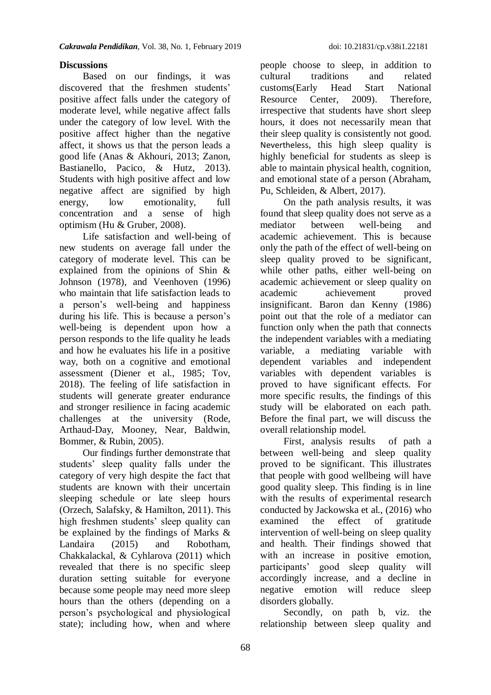## **Discussions**

Based on our findings, it was discovered that the freshmen students' positive affect falls under the category of moderate level, while negative affect falls under the category of low level. With the positive affect higher than the negative affect, it shows us that the person leads a good life (Anas & Akhouri, 2013; Zanon, Bastianello, Pacico, & Hutz, 2013). Students with high positive affect and low negative affect are signified by high energy, low emotionality, full concentration and a sense of high optimism (Hu & Gruber, 2008).

Life satisfaction and well-being of new students on average fall under the category of moderate level. This can be explained from the opinions of Shin & Johnson (1978), and Veenhoven (1996) who maintain that life satisfaction leads to a person's well-being and happiness during his life. This is because a person's well-being is dependent upon how a person responds to the life quality he leads and how he evaluates his life in a positive way, both on a cognitive and emotional assessment (Diener et al., 1985; Tov, 2018). The feeling of life satisfaction in students will generate greater endurance and stronger resilience in facing academic challenges at the university (Rode, Arthaud-Day, Mooney, Near, Baldwin, Bommer, & Rubin, 2005).

Our findings further demonstrate that students' sleep quality falls under the category of very high despite the fact that students are known with their uncertain sleeping schedule or late sleep hours (Orzech, Salafsky, & Hamilton, 2011). This high freshmen students' sleep quality can be explained by the findings of Marks & Landaira (2015) and Robotham, Chakkalackal, & Cyhlarova (2011) which revealed that there is no specific sleep duration setting suitable for everyone because some people may need more sleep hours than the others (depending on a person's psychological and physiological state); including how, when and where

people choose to sleep, in addition to cultural traditions and related customs(Early Head Start National Resource Center, 2009). Therefore, irrespective that students have short sleep hours, it does not necessarily mean that their sleep quality is consistently not good. Nevertheless, this high sleep quality is highly beneficial for students as sleep is able to maintain physical health, cognition, and emotional state of a person (Abraham, Pu, Schleiden, & Albert, 2017).

On the path analysis results, it was found that sleep quality does not serve as a mediator between well-being and academic achievement. This is because only the path of the effect of well-being on sleep quality proved to be significant, while other paths, either well-being on academic achievement or sleep quality on academic achievement proved insignificant. Baron dan Kenny (1986) point out that the role of a mediator can function only when the path that connects the independent variables with a mediating variable, a mediating variable with dependent variables and independent variables with dependent variables is proved to have significant effects. For more specific results, the findings of this study will be elaborated on each path. Before the final part, we will discuss the overall relationship model.

First, analysis results of path a between well-being and sleep quality proved to be significant. This illustrates that people with good wellbeing will have good quality sleep. This finding is in line with the results of experimental research conducted by Jackowska et al., (2016) who examined the effect of gratitude intervention of well-being on sleep quality and health. Their findings showed that with an increase in positive emotion, participants' good sleep quality will accordingly increase, and a decline in negative emotion will reduce sleep disorders globally.

Secondly, on path b, viz. the relationship between sleep quality and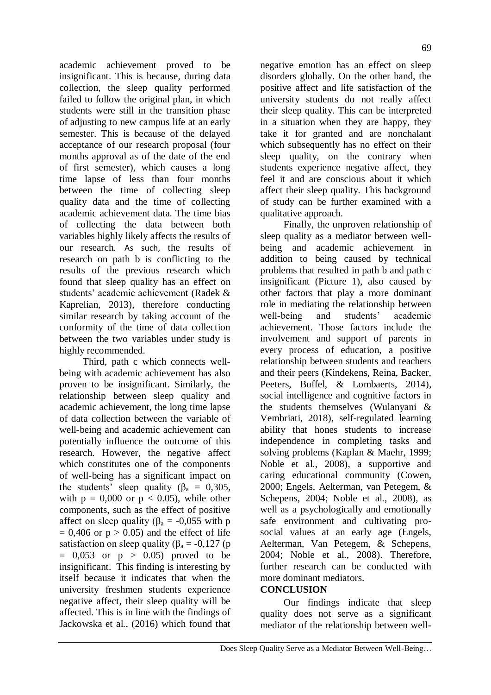academic achievement proved to be insignificant. This is because, during data collection, the sleep quality performed failed to follow the original plan, in which students were still in the transition phase of adjusting to new campus life at an early semester. This is because of the delayed acceptance of our research proposal (four months approval as of the date of the end of first semester), which causes a long time lapse of less than four months between the time of collecting sleep quality data and the time of collecting academic achievement data. The time bias of collecting the data between both variables highly likely affects the results of our research. As such, the results of research on path b is conflicting to the results of the previous research which found that sleep quality has an effect on students' academic achievement (Radek & Kaprelian, 2013), therefore conducting similar research by taking account of the conformity of the time of data collection between the two variables under study is highly recommended.

Third, path c which connects wellbeing with academic achievement has also proven to be insignificant. Similarly, the relationship between sleep quality and academic achievement, the long time lapse of data collection between the variable of well-being and academic achievement can potentially influence the outcome of this research. However, the negative affect which constitutes one of the components of well-being has a significant impact on the students' sleep quality ( $\beta_a = 0.305$ , with  $p = 0,000$  or  $p < 0.05$ ), while other components, such as the effect of positive affect on sleep quality ( $\beta_a = -0.055$  with p  $= 0.406$  or  $p > 0.05$ ) and the effect of life satisfaction on sleep quality ( $\beta_a = -0.127$  (p  $= 0.053$  or  $p > 0.05$ ) proved to be insignificant. This finding is interesting by itself because it indicates that when the university freshmen students experience negative affect, their sleep quality will be affected. This is in line with the findings of Jackowska et al., (2016) which found that

negative emotion has an effect on sleep disorders globally. On the other hand, the positive affect and life satisfaction of the university students do not really affect their sleep quality. This can be interpreted in a situation when they are happy, they take it for granted and are nonchalant which subsequently has no effect on their sleep quality, on the contrary when students experience negative affect, they feel it and are conscious about it which affect their sleep quality. This background of study can be further examined with a qualitative approach.

Finally, the unproven relationship of sleep quality as a mediator between wellbeing and academic achievement in addition to being caused by technical problems that resulted in path b and path c insignificant (Picture 1), also caused by other factors that play a more dominant role in mediating the relationship between well-being and students' academic achievement. Those factors include the involvement and support of parents in every process of education, a positive relationship between students and teachers and their peers (Kindekens, Reina, Backer, Peeters, Buffel, & Lombaerts, 2014), social intelligence and cognitive factors in the students themselves (Wulanyani & Vembriati, 2018), self-regulated learning ability that hones students to increase independence in completing tasks and solving problems (Kaplan & Maehr, 1999; Noble et al., 2008), a supportive and caring educational community (Cowen, 2000; Engels, Aelterman, van Petegem, & Schepens, 2004; Noble et al., 2008), as well as a psychologically and emotionally safe environment and cultivating prosocial values at an early age (Engels, Aelterman, Van Petegem, & Schepens, 2004; Noble et al., 2008). Therefore, further research can be conducted with more dominant mediators.

## **CONCLUSION**

Our findings indicate that sleep quality does not serve as a significant mediator of the relationship between well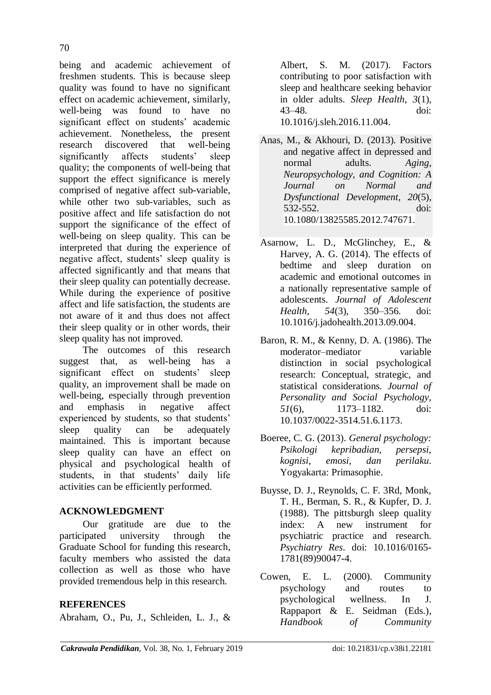being and academic achievement of freshmen students. This is because sleep quality was found to have no significant effect on academic achievement, similarly, well-being was found to have no significant effect on students' academic achievement. Nonetheless, the present research discovered that well-being significantly affects students' sleep quality; the components of well-being that support the effect significance is merely comprised of negative affect sub-variable, while other two sub-variables, such as positive affect and life satisfaction do not support the significance of the effect of well-being on sleep quality. This can be interpreted that during the experience of negative affect, students' sleep quality is affected significantly and that means that their sleep quality can potentially decrease. While during the experience of positive affect and life satisfaction, the students are not aware of it and thus does not affect their sleep quality or in other words, their sleep quality has not improved.

The outcomes of this research suggest that, as well-being has a significant effect on students' sleep quality, an improvement shall be made on well-being, especially through prevention and emphasis in negative affect experienced by students, so that students' sleep quality can be adequately maintained. This is important because sleep quality can have an effect on physical and psychological health of students, in that students' daily life activities can be efficiently performed.

# **ACKNOWLEDGMENT**

Our gratitude are due to the participated university through the Graduate School for funding this research, faculty members who assisted the data collection as well as those who have provided tremendous help in this research.

# **REFERENCES**

Abraham, O., Pu, J., Schleiden, L. J., &

Albert, S. M. (2017). Factors contributing to poor satisfaction with sleep and healthcare seeking behavior in older adults. *Sleep Health*, *3*(1), 43–48. doi: 10.1016/j.sleh.2016.11.004.

- Anas, M., & Akhouri, D. (2013). Positive and negative affect in depressed and normal adults. *Aging, Neuropsychology, and Cognition: A Journal on Normal and Dysfunctional Development*, *20*(5), 532-552. doi: 10.1080/13825585.2012.747671.
- Asarnow, L. D., McGlinchey, E., & Harvey, A. G. (2014). The effects of bedtime and sleep duration on academic and emotional outcomes in a nationally representative sample of adolescents. *Journal of Adolescent Health*, *54*(3), 350–356. doi: 10.1016/j.jadohealth.2013.09.004.
- Baron, R. M., & Kenny, D. A. (1986). The moderator–mediator variable distinction in social psychological research: Conceptual, strategic, and statistical considerations. *Journal of Personality and Social Psychology*, *51*(6), 1173–1182. doi: 10.1037/0022-3514.51.6.1173.
- Boeree, C. G. (2013). *General psychology: Psikologi kepribadian, persepsi, kognisi, emosi, dan perilaku*. Yogyakarta: Primasophie.
- Buysse, D. J., Reynolds, C. F. 3Rd, Monk, T. H., Berman, S. R., & Kupfer, D. J. (1988). The pittsburgh sleep quality index: A new instrument for psychiatric practice and research. *Psychiatry Res*. doi: 10.1016/0165- 1781(89)90047-4.
- Cowen, E. L. (2000). Community psychology and routes to psychological wellness. In J. Rappaport & E. Seidman (Eds.), *[Handbook of Community](https://link.springer.com/book/10.1007/978-1-4615-4193-6)*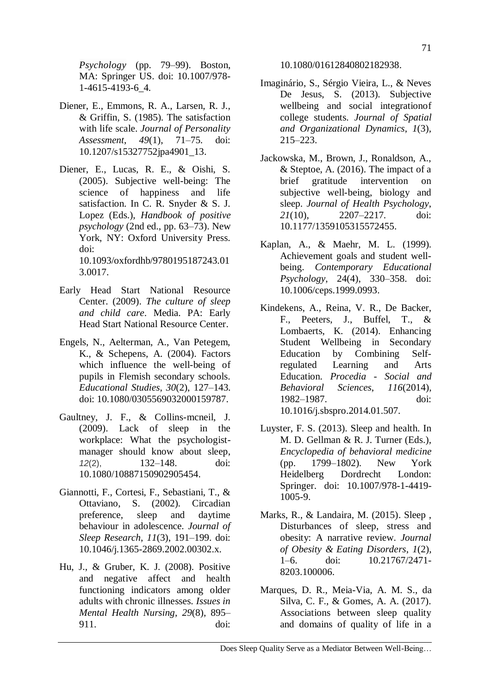- Diener, E., Emmons, R. A., Larsen, R. J., & Griffin, S. (1985). The satisfaction with life scale. *Journal of Personality Assessment*, *49*(1), 71–75. doi: 10.1207/s15327752jpa4901\_13.
- Diener, E., Lucas, R. E., & Oishi, S. (2005). Subjective well-being: The science of happiness and life satisfaction. In C. R. Snyder & S. J. Lopez (Eds.), *Handbook of positive psychology* (2nd ed., pp. 63–73). New York, NY: Oxford University Press. doi: 10.1093/oxfordhb/9780195187243.01

3.0017.

- Early Head Start National Resource Center. (2009). *The culture of sleep and child care*. Media. PA: Early Head Start National Resource Center.
- Engels, N., Aelterman, A., Van Petegem, K., & Schepens, A. (2004). Factors which influence the well-being of pupils in Flemish secondary schools. *Educational Studies*, *30*(2), 127–143. doi: 10.1080/0305569032000159787.
- Gaultney, J. F., & Collins-mcneil, J. (2009). Lack of sleep in the workplace: What the psychologistmanager should know about sleep. *12*(2), 132–148. doi: 10.1080/10887150902905454.
- Giannotti, F., Cortesi, F., Sebastiani, T., & Ottaviano, S. (2002). Circadian preference, sleep and daytime behaviour in adolescence. *Journal of Sleep Research*, *11*(3), 191–199. doi: 10.1046/j.1365-2869.2002.00302.x.
- Hu, J., & Gruber, K. J. (2008). Positive and negative affect and health functioning indicators among older adults with chronic illnesses. *Issues in Mental Health Nursing*, *29*(8), 895– 911. doi:

10.1080/01612840802182938.

- Imaginário, S., Sérgio Vieira, L., & Neves De Jesus, S. (2013). Subjective wellbeing and social integrationof college students. *Journal of Spatial and Organizational Dynamics*, *1*(3), 215–223.
- Jackowska, M., Brown, J., Ronaldson, A., & Steptoe, A. (2016). The impact of a brief gratitude intervention on subjective well-being, biology and sleep. *Journal of Health Psychology*, *21*(10), 2207–2217. doi: 10.1177/1359105315572455.
- Kaplan, A., & Maehr, M. L. (1999). Achievement goals and student wellbeing. *Contemporary Educational Psychology*, 24(4), 330–358. doi: 10.1006/ceps.1999.0993.
- Kindekens, A., Reina, V. R., De Backer, F., Peeters, J., Buffel, T., & Lombaerts, K. (2014). Enhancing Student Wellbeing in Secondary Education by Combining Selfregulated Learning and Arts Education. *Procedia - Social and Behavioral Sciences*, *116*(2014), 1982–1987. doi: 10.1016/j.sbspro.2014.01.507.
- Luyster, F. S. (2013). Sleep and health. In M. D. Gellman & R. J. Turner (Eds.), *Encyclopedia of behavioral medicine* (pp. 1799–1802). New York Heidelberg Dordrecht London: Springer. doi: 10.1007/978-1-4419- 1005-9.
- Marks, R., & Landaira, M. (2015). Sleep , Disturbances of sleep, stress and obesity: A narrative review. *Journal of Obesity & Eating Disorders*, *1*(2), 1–6. doi: 10.21767/2471- 8203.100006.
- Marques, D. R., Meia-Via, A. M. S., da Silva, C. F., & Gomes, A. A. (2017). Associations between sleep quality and domains of quality of life in a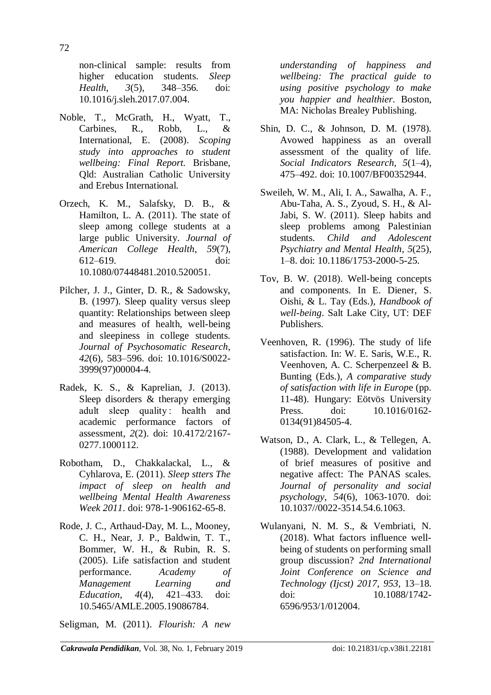non-clinical sample: results from higher education students. *Sleep Health*, *3*(5), 348–356. doi: 10.1016/j.sleh.2017.07.004.

- Noble, T., McGrath, H., Wyatt, T., Carbines, R., Robb, L., & International, E. (2008). *Scoping study into approaches to student wellbeing: Final Report.* Brisbane, Qld: Australian Catholic University and Erebus International.
- Orzech, K. M., Salafsky, D. B., & Hamilton, L. A. (2011). The state of sleep among college students at a large public University. *Journal of American College Health*, *59*(7), 612–619. doi: 10.1080/07448481.2010.520051.
- Pilcher, J. J., Ginter, D. R., & Sadowsky, B. (1997). Sleep quality versus sleep quantity: Relationships between sleep and measures of health, well-being and sleepiness in college students. *Journal of Psychosomatic Research*, *42*(6), 583–596. doi: 10.1016/S0022- 3999(97)00004-4.
- Radek, K. S., & Kaprelian, J. (2013). Sleep disorders & therapy emerging adult sleep quality : health and academic performance factors of assessment, *2*(2). doi: 10.4172/2167- 0277.1000112.
- Robotham, D., Chakkalackal, L., & Cyhlarova, E. (2011). *Sleep stters The impact of sleep on health and wellbeing Mental Health Awareness Week 2011*. doi: 978-1-906162-65-8.
- Rode, J. C., Arthaud-Day, M. L., Mooney, C. H., Near, J. P., Baldwin, T. T., Bommer, W. H., & Rubin, R. S. (2005). Life satisfaction and student performance. *Academy of Management Learning and Education*, *4*(4), 421–433. doi: 10.5465/AMLE.2005.19086784.

Seligman, M. (2011). *Flourish: A new* 

*understanding of happiness and wellbeing: The practical guide to using positive psychology to make you happier and healthier*. Boston, MA: Nicholas Brealey Publishing.

- Shin, D. C., & Johnson, D. M. (1978). Avowed happiness as an overall assessment of the quality of life. *Social Indicators Research*, *5*(1–4), 475–492. doi: 10.1007/BF00352944.
- Sweileh, W. M., Ali, I. A., Sawalha, A. F., Abu-Taha, A. S., Zyoud, S. H., & Al-Jabi, S. W. (2011). Sleep habits and sleep problems among Palestinian students. *Child and Adolescent Psychiatry and Mental Health*, *5*(25), 1–8. doi: 10.1186/1753-2000-5-25.
- Tov, B. W. (2018). Well-being concepts and components. In E. Diener, S. Oishi, & L. Tay (Eds.), *Handbook of well-being*. Salt Lake City, UT: DEF Publishers.
- Veenhoven, R. (1996). The study of life satisfaction. In: W. E. Saris, W.E., R. Veenhoven, A. C. Scherpenzeel & B. Bunting (Eds.), *A comparative study of satisfaction with life in Europ*e (pp. 11-48). Hungary: Eötvös University Press. doi: 10.1016/0162-0134(91)84505-4.
- Watson, D., A. Clark, L., & Tellegen, A. (1988). Development and validation of brief measures of positive and negative affect: The PANAS scales*. Journal of personality and social psychology*, *54*(6), 1063-1070. doi: 10.1037//0022-3514.54.6.1063.
- Wulanyani, N. M. S., & Vembriati, N. (2018). What factors influence wellbeing of students on performing small group discussion? *2nd International Joint Conference on Science and Technology (Ijcst) 2017*, *953*, 13–18. doi: 10.1088/1742- 6596/953/1/012004.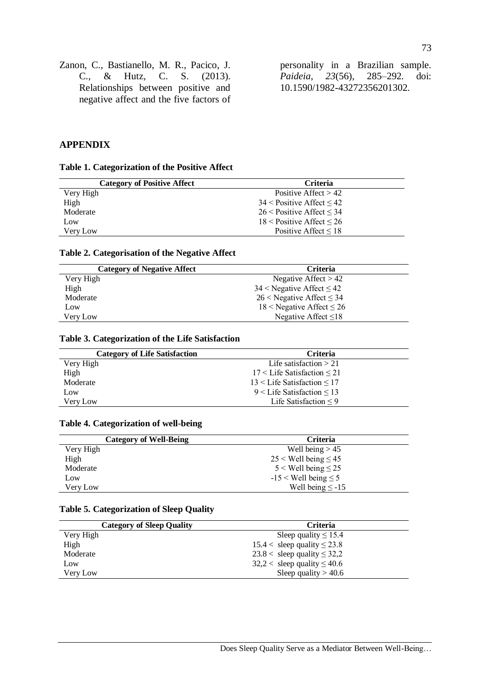Zanon, C., Bastianello, M. R., Pacico, J. C., & Hutz, C. S. (2013). Relationships between positive and negative affect and the five factors of

personality in a Brazilian sample. *Paideia*, *23*(56), 285–292. doi: 10.1590/1982-43272356201302.

#### **APPENDIX**

#### **Table 1. Categorization of the Positive Affect**

| <b>Category of Positive Affect</b> | Criteria                         |  |
|------------------------------------|----------------------------------|--|
| Very High                          | Positive Affect $> 42$           |  |
| High                               | $34 <$ Positive Affect $< 42$    |  |
| Moderate                           | $26$ < Positive Affect < 34      |  |
| Low                                | $18 <$ Positive Affect $\leq 26$ |  |
| Very Low                           | Positive Affect $\leq 18$        |  |
|                                    |                                  |  |

#### **Table 2. Categorisation of the Negative Affect**

| <b>Category of Negative Affect</b> | <b>Criteria</b>                  |
|------------------------------------|----------------------------------|
| Very High                          | Negative Affect $> 42$           |
| High                               | $34 <$ Negative Affect $\leq 42$ |
| Moderate                           | $26$ < Negative Affect $\leq$ 34 |
| Low                                | 18 < Negative Affect $\leq$ 26   |
| Very Low                           | Negative Affect $\leq 18$        |

#### **Table 3. Categorization of the Life Satisfaction**

| <b>Category of Life Satisfaction</b> | <b>Criteria</b>                    |
|--------------------------------------|------------------------------------|
| Very High                            | Life satisfaction $> 21$           |
| High                                 | $17 <$ Life Satisfaction $\leq 21$ |
| Moderate                             | $13$ < Life Satisfaction < 17      |
| Low                                  | $9 <$ Life Satisfaction $\leq 13$  |
| Very Low                             | Life Satisfaction $\leq 9$         |

#### **Table 4. Categorization of well-being**

| <b>Category of Well-Being</b> | <b>Criteria</b>             |
|-------------------------------|-----------------------------|
| Very High                     | Well being $> 45$           |
| High                          | $25 <$ Well being $\leq 45$ |
| Moderate                      | $5 <$ Well being $\leq 25$  |
| Low                           | $-15 <$ Well being $\leq 5$ |
| Very Low                      | Well being $\le$ -15        |

#### **Table 5. Categorization of Sleep Quality**

| <b>Category of Sleep Quality</b> | <b>Criteria</b>                    |
|----------------------------------|------------------------------------|
| Very High                        | Sleep quality $\leq 15.4$          |
| High                             | $15.4 <$ sleep quality $\leq 23.8$ |
| Moderate                         | 23.8 < sleep quality $\leq$ 32,2   |
| Low                              | $32,2 <$ sleep quality $\leq 40.6$ |
| Very Low                         | Sleep quality $> 40.6$             |